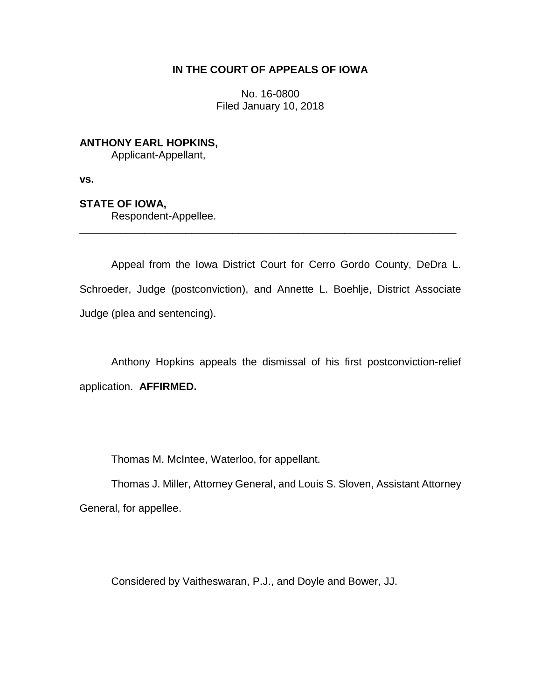# **IN THE COURT OF APPEALS OF IOWA**

No. 16-0800 Filed January 10, 2018

# **ANTHONY EARL HOPKINS,**

Applicant-Appellant,

**vs.**

# **STATE OF IOWA,**

Respondent-Appellee.

Appeal from the Iowa District Court for Cerro Gordo County, DeDra L. Schroeder, Judge (postconviction), and Annette L. Boehlje, District Associate Judge (plea and sentencing).

\_\_\_\_\_\_\_\_\_\_\_\_\_\_\_\_\_\_\_\_\_\_\_\_\_\_\_\_\_\_\_\_\_\_\_\_\_\_\_\_\_\_\_\_\_\_\_\_\_\_\_\_\_\_\_\_\_\_\_\_\_\_\_\_

Anthony Hopkins appeals the dismissal of his first postconviction-relief application. **AFFIRMED.**

Thomas M. McIntee, Waterloo, for appellant.

Thomas J. Miller, Attorney General, and Louis S. Sloven, Assistant Attorney General, for appellee.

Considered by Vaitheswaran, P.J., and Doyle and Bower, JJ.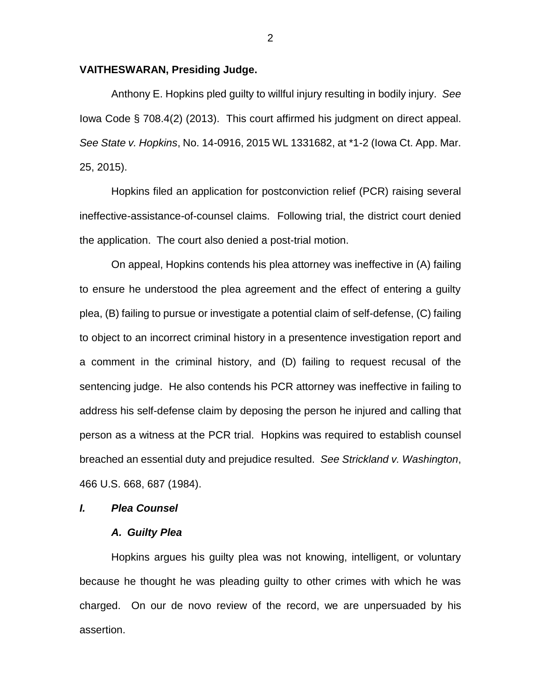### **VAITHESWARAN, Presiding Judge.**

Anthony E. Hopkins pled guilty to willful injury resulting in bodily injury. *See*  Iowa Code § 708.4(2) (2013). This court affirmed his judgment on direct appeal. *See State v. Hopkins*, No. 14-0916, 2015 WL 1331682, at \*1-2 (Iowa Ct. App. Mar. 25, 2015).

Hopkins filed an application for postconviction relief (PCR) raising several ineffective-assistance-of-counsel claims. Following trial, the district court denied the application. The court also denied a post-trial motion.

On appeal, Hopkins contends his plea attorney was ineffective in (A) failing to ensure he understood the plea agreement and the effect of entering a guilty plea, (B) failing to pursue or investigate a potential claim of self-defense, (C) failing to object to an incorrect criminal history in a presentence investigation report and a comment in the criminal history, and (D) failing to request recusal of the sentencing judge. He also contends his PCR attorney was ineffective in failing to address his self-defense claim by deposing the person he injured and calling that person as a witness at the PCR trial. Hopkins was required to establish counsel breached an essential duty and prejudice resulted. *See Strickland v. Washington*, 466 U.S. 668, 687 (1984).

## *I. Plea Counsel*

### *A. Guilty Plea*

Hopkins argues his guilty plea was not knowing, intelligent, or voluntary because he thought he was pleading guilty to other crimes with which he was charged. On our de novo review of the record, we are unpersuaded by his assertion.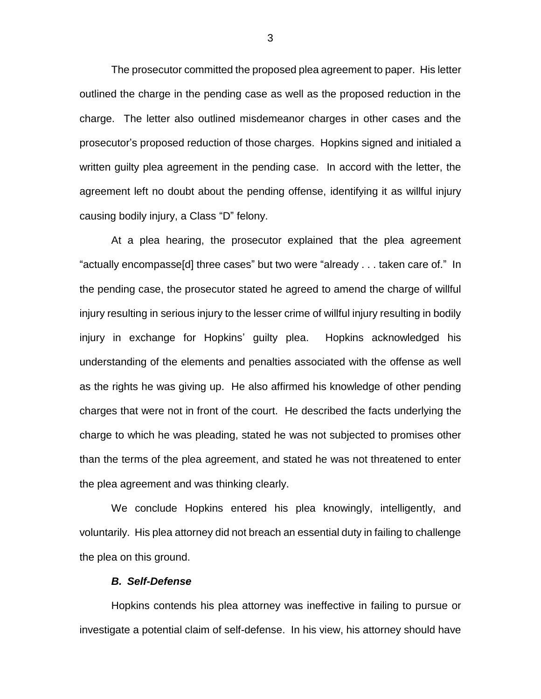The prosecutor committed the proposed plea agreement to paper. His letter outlined the charge in the pending case as well as the proposed reduction in the charge. The letter also outlined misdemeanor charges in other cases and the prosecutor's proposed reduction of those charges. Hopkins signed and initialed a written guilty plea agreement in the pending case. In accord with the letter, the agreement left no doubt about the pending offense, identifying it as willful injury causing bodily injury, a Class "D" felony.

At a plea hearing, the prosecutor explained that the plea agreement "actually encompasse[d] three cases" but two were "already . . . taken care of." In the pending case, the prosecutor stated he agreed to amend the charge of willful injury resulting in serious injury to the lesser crime of willful injury resulting in bodily injury in exchange for Hopkins' guilty plea. Hopkins acknowledged his understanding of the elements and penalties associated with the offense as well as the rights he was giving up. He also affirmed his knowledge of other pending charges that were not in front of the court. He described the facts underlying the charge to which he was pleading, stated he was not subjected to promises other than the terms of the plea agreement, and stated he was not threatened to enter the plea agreement and was thinking clearly.

We conclude Hopkins entered his plea knowingly, intelligently, and voluntarily. His plea attorney did not breach an essential duty in failing to challenge the plea on this ground.

# *B. Self-Defense*

Hopkins contends his plea attorney was ineffective in failing to pursue or investigate a potential claim of self-defense. In his view, his attorney should have

3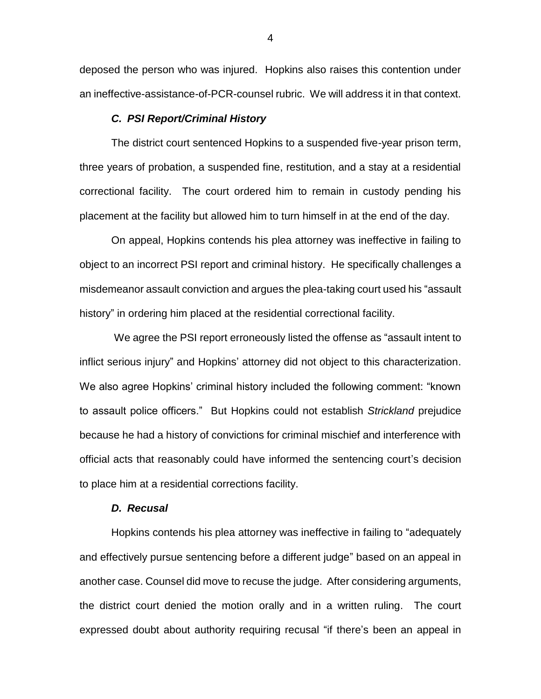deposed the person who was injured. Hopkins also raises this contention under an ineffective-assistance-of-PCR-counsel rubric. We will address it in that context.

#### *C. PSI Report/Criminal History*

The district court sentenced Hopkins to a suspended five-year prison term, three years of probation, a suspended fine, restitution, and a stay at a residential correctional facility. The court ordered him to remain in custody pending his placement at the facility but allowed him to turn himself in at the end of the day.

On appeal, Hopkins contends his plea attorney was ineffective in failing to object to an incorrect PSI report and criminal history. He specifically challenges a misdemeanor assault conviction and argues the plea-taking court used his "assault history" in ordering him placed at the residential correctional facility.

We agree the PSI report erroneously listed the offense as "assault intent to inflict serious injury" and Hopkins' attorney did not object to this characterization. We also agree Hopkins' criminal history included the following comment: "known to assault police officers." But Hopkins could not establish *Strickland* prejudice because he had a history of convictions for criminal mischief and interference with official acts that reasonably could have informed the sentencing court's decision to place him at a residential corrections facility.

#### *D. Recusal*

Hopkins contends his plea attorney was ineffective in failing to "adequately and effectively pursue sentencing before a different judge" based on an appeal in another case. Counsel did move to recuse the judge. After considering arguments, the district court denied the motion orally and in a written ruling. The court expressed doubt about authority requiring recusal "if there's been an appeal in

4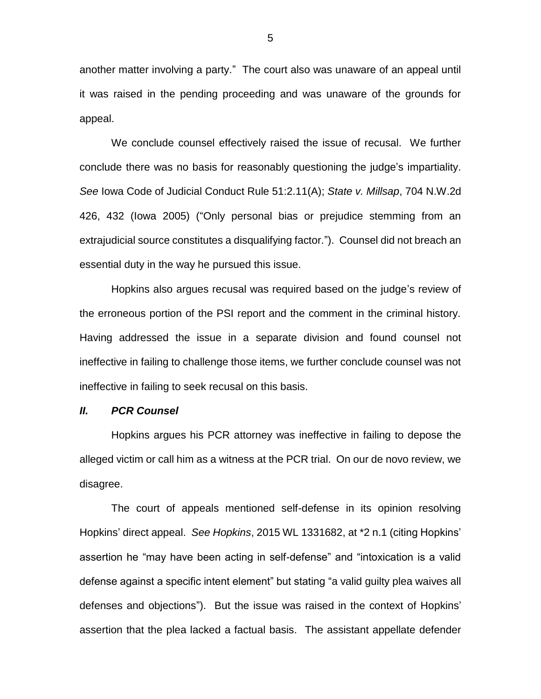another matter involving a party." The court also was unaware of an appeal until it was raised in the pending proceeding and was unaware of the grounds for appeal.

We conclude counsel effectively raised the issue of recusal. We further conclude there was no basis for reasonably questioning the judge's impartiality. *See* Iowa Code of Judicial Conduct Rule 51:2.11(A); *State v. Millsap*, 704 N.W.2d 426, 432 (Iowa 2005) ("Only personal bias or prejudice stemming from an extrajudicial source constitutes a disqualifying factor."). Counsel did not breach an essential duty in the way he pursued this issue.

Hopkins also argues recusal was required based on the judge's review of the erroneous portion of the PSI report and the comment in the criminal history. Having addressed the issue in a separate division and found counsel not ineffective in failing to challenge those items, we further conclude counsel was not ineffective in failing to seek recusal on this basis.

## *II. PCR Counsel*

Hopkins argues his PCR attorney was ineffective in failing to depose the alleged victim or call him as a witness at the PCR trial. On our de novo review, we disagree.

The court of appeals mentioned self-defense in its opinion resolving Hopkins' direct appeal. *See Hopkins*, 2015 WL 1331682, at \*2 n.1 (citing Hopkins' assertion he "may have been acting in self-defense" and "intoxication is a valid defense against a specific intent element" but stating "a valid guilty plea waives all defenses and objections"). But the issue was raised in the context of Hopkins' assertion that the plea lacked a factual basis. The assistant appellate defender